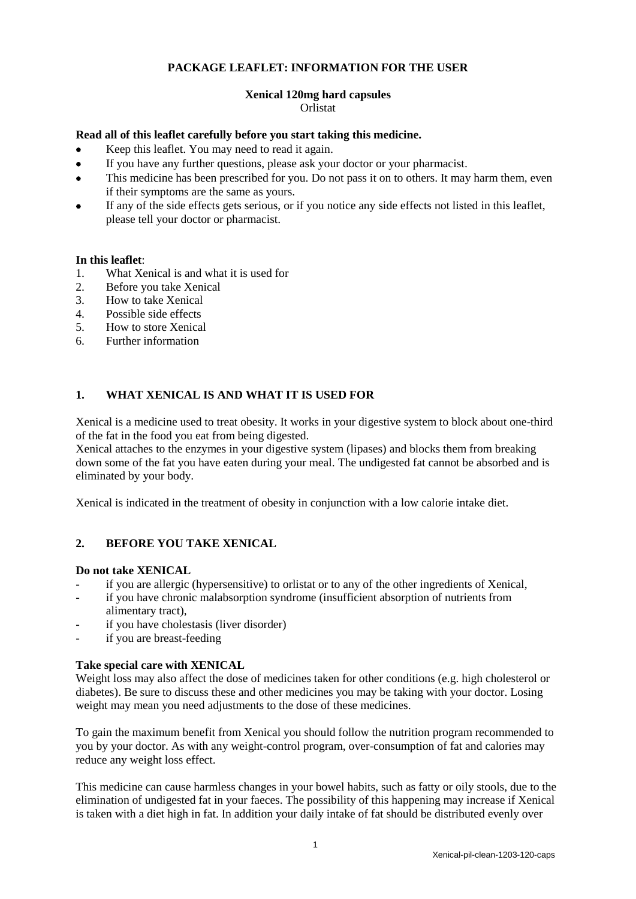# **PACKAGE LEAFLET: INFORMATION FOR THE USER**

# **Xenical 120mg hard capsules**

### Orlistat

### **Read all of this leaflet carefully before you start taking this medicine.**

- Keep this leaflet. You may need to read it again.
- If you have any further questions, please ask your doctor or your pharmacist.
- This medicine has been prescribed for you. Do not pass it on to others. It may harm them, even if their symptoms are the same as yours.
- If any of the side effects gets serious, or if you notice any side effects not listed in this leaflet, please tell your doctor or pharmacist.

### **In this leaflet**:

- 1. What Xenical is and what it is used for<br>2. Before you take Xenical
- Before you take Xenical
- 3. How to take Xenical
- 4. Possible side effects
- 5. How to store Xenical
- 6. Further information

# **1. WHAT XENICAL IS AND WHAT IT IS USED FOR**

Xenical is a medicine used to treat obesity. It works in your digestive system to block about one-third of the fat in the food you eat from being digested.

Xenical attaches to the enzymes in your digestive system (lipases) and blocks them from breaking down some of the fat you have eaten during your meal. The undigested fat cannot be absorbed and is eliminated by your body.

Xenical is indicated in the treatment of obesity in conjunction with a low calorie intake diet.

# **2. BEFORE YOU TAKE XENICAL**

### **Do not take XENICAL**

- if you are allergic (hypersensitive) to orlistat or to any of the other ingredients of Xenical,
- if you have chronic malabsorption syndrome (insufficient absorption of nutrients from alimentary tract),
- if you have cholestasis (liver disorder)
- if you are breast-feeding

### **Take special care with XENICAL**

Weight loss may also affect the dose of medicines taken for other conditions (e.g. high cholesterol or diabetes). Be sure to discuss these and other medicines you may be taking with your doctor. Losing weight may mean you need adjustments to the dose of these medicines.

To gain the maximum benefit from Xenical you should follow the nutrition program recommended to you by your doctor. As with any weight-control program, over-consumption of fat and calories may reduce any weight loss effect.

This medicine can cause harmless changes in your bowel habits, such as fatty or oily stools, due to the elimination of undigested fat in your faeces. The possibility of this happening may increase if Xenical is taken with a diet high in fat. In addition your daily intake of fat should be distributed evenly over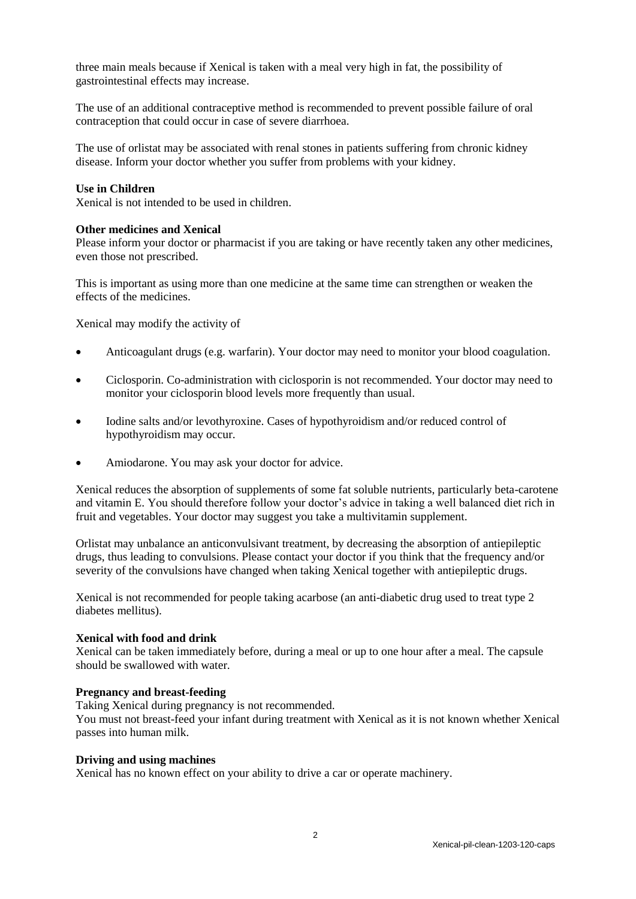three main meals because if Xenical is taken with a meal very high in fat, the possibility of gastrointestinal effects may increase.

The use of an additional contraceptive method is recommended to prevent possible failure of oral contraception that could occur in case of severe diarrhoea.

The use of orlistat may be associated with renal stones in patients suffering from chronic kidney disease. Inform your doctor whether you suffer from problems with your kidney.

#### **Use in Children**

Xenical is not intended to be used in children.

#### **Other medicines and Xenical**

Please inform your doctor or pharmacist if you are taking or have recently taken any other medicines, even those not prescribed.

This is important as using more than one medicine at the same time can strengthen or weaken the effects of the medicines.

Xenical may modify the activity of

- Anticoagulant drugs (e.g. warfarin). Your doctor may need to monitor your blood coagulation.
- Ciclosporin. Co-administration with ciclosporin is not recommended. Your doctor may need to monitor your ciclosporin blood levels more frequently than usual.
- Iodine salts and/or levothyroxine. Cases of hypothyroidism and/or reduced control of hypothyroidism may occur.
- Amiodarone. You may ask your doctor for advice.

Xenical reduces the absorption of supplements of some fat soluble nutrients, particularly beta-carotene and vitamin E. You should therefore follow your doctor's advice in taking a well balanced diet rich in fruit and vegetables. Your doctor may suggest you take a multivitamin supplement.

Orlistat may unbalance an anticonvulsivant treatment, by decreasing the absorption of antiepileptic drugs, thus leading to convulsions. Please contact your doctor if you think that the frequency and/or severity of the convulsions have changed when taking Xenical together with antiepileptic drugs.

Xenical is not recommended for people taking acarbose (an anti-diabetic drug used to treat type 2 diabetes mellitus).

#### **Xenical with food and drink**

Xenical can be taken immediately before, during a meal or up to one hour after a meal. The capsule should be swallowed with water.

#### **Pregnancy and breast-feeding**

Taking Xenical during pregnancy is not recommended.

You must not breast-feed your infant during treatment with Xenical as it is not known whether Xenical passes into human milk.

#### **Driving and using machines**

Xenical has no known effect on your ability to drive a car or operate machinery.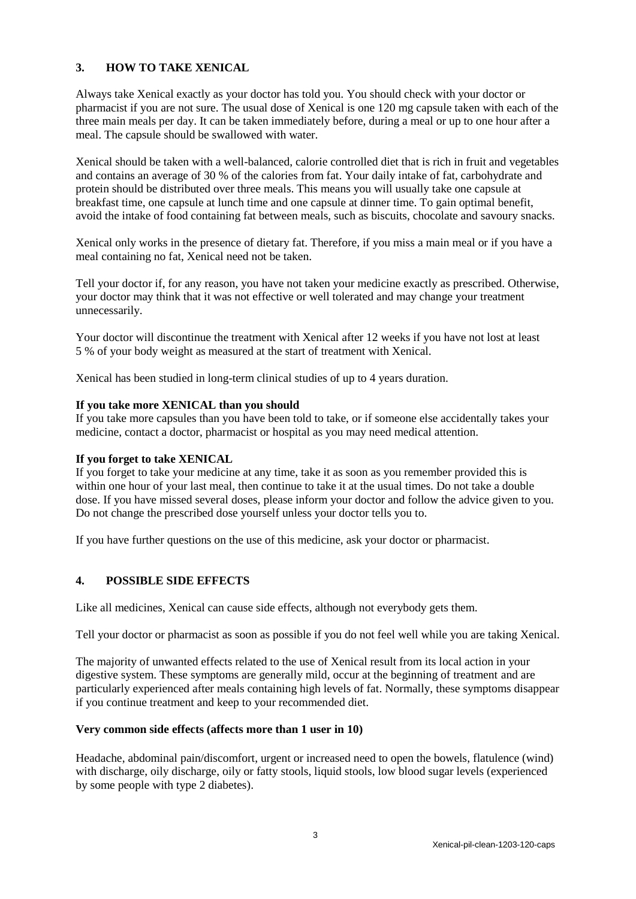# **3. HOW TO TAKE XENICAL**

Always take Xenical exactly as your doctor has told you. You should check with your doctor or pharmacist if you are not sure. The usual dose of Xenical is one 120 mg capsule taken with each of the three main meals per day. It can be taken immediately before, during a meal or up to one hour after a meal. The capsule should be swallowed with water.

Xenical should be taken with a well-balanced, calorie controlled diet that is rich in fruit and vegetables and contains an average of 30 % of the calories from fat. Your daily intake of fat, carbohydrate and protein should be distributed over three meals. This means you will usually take one capsule at breakfast time, one capsule at lunch time and one capsule at dinner time. To gain optimal benefit, avoid the intake of food containing fat between meals, such as biscuits, chocolate and savoury snacks.

Xenical only works in the presence of dietary fat. Therefore, if you miss a main meal or if you have a meal containing no fat, Xenical need not be taken.

Tell your doctor if, for any reason, you have not taken your medicine exactly as prescribed. Otherwise, your doctor may think that it was not effective or well tolerated and may change your treatment unnecessarily.

Your doctor will discontinue the treatment with Xenical after 12 weeks if you have not lost at least 5 % of your body weight as measured at the start of treatment with Xenical.

Xenical has been studied in long-term clinical studies of up to 4 years duration.

#### **If you take more XENICAL than you should**

If you take more capsules than you have been told to take, or if someone else accidentally takes your medicine, contact a doctor, pharmacist or hospital as you may need medical attention.

#### **If you forget to take XENICAL**

If you forget to take your medicine at any time, take it as soon as you remember provided this is within one hour of your last meal, then continue to take it at the usual times. Do not take a double dose. If you have missed several doses, please inform your doctor and follow the advice given to you. Do not change the prescribed dose yourself unless your doctor tells you to.

If you have further questions on the use of this medicine, ask your doctor or pharmacist.

### **4. POSSIBLE SIDE EFFECTS**

Like all medicines, Xenical can cause side effects, although not everybody gets them.

Tell your doctor or pharmacist as soon as possible if you do not feel well while you are taking Xenical.

The majority of unwanted effects related to the use of Xenical result from its local action in your digestive system. These symptoms are generally mild, occur at the beginning of treatment and are particularly experienced after meals containing high levels of fat. Normally, these symptoms disappear if you continue treatment and keep to your recommended diet.

### **Very common side effects (affects more than 1 user in 10)**

Headache, abdominal pain/discomfort, urgent or increased need to open the bowels, flatulence (wind) with discharge, oily discharge, oily or fatty stools, liquid stools, low blood sugar levels (experienced by some people with type 2 diabetes).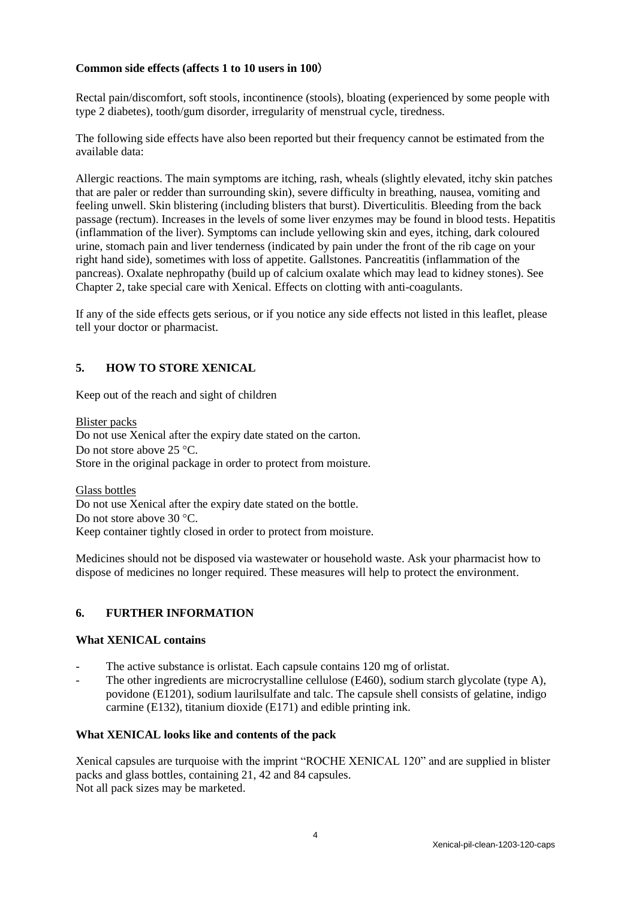### **Common side effects (affects 1 to 10 users in 100**)

Rectal pain/discomfort, soft stools, incontinence (stools), bloating (experienced by some people with type 2 diabetes), tooth/gum disorder, irregularity of menstrual cycle, tiredness.

The following side effects have also been reported but their frequency cannot be estimated from the available data:

Allergic reactions. The main symptoms are itching, rash, wheals (slightly elevated, itchy skin patches that are paler or redder than surrounding skin), severe difficulty in breathing, nausea, vomiting and feeling unwell. Skin blistering (including blisters that burst). Diverticulitis. Bleeding from the back passage (rectum). Increases in the levels of some liver enzymes may be found in blood tests. Hepatitis (inflammation of the liver). Symptoms can include yellowing skin and eyes, itching, dark coloured urine, stomach pain and liver tenderness (indicated by pain under the front of the rib cage on your right hand side), sometimes with loss of appetite. Gallstones. Pancreatitis (inflammation of the pancreas). Oxalate nephropathy (build up of calcium oxalate which may lead to kidney stones). See Chapter 2, take special care with Xenical. Effects on clotting with anti-coagulants.

If any of the side effects gets serious, or if you notice any side effects not listed in this leaflet, please tell your doctor or pharmacist.

# **5. HOW TO STORE XENICAL**

Keep out of the reach and sight of children

Blister packs Do not use Xenical after the expiry date stated on the carton. Do not store above  $25^{\circ}$ C. Store in the original package in order to protect from moisture.

Glass bottles Do not use Xenical after the expiry date stated on the bottle. Do not store above 30 °C. Keep container tightly closed in order to protect from moisture.

Medicines should not be disposed via wastewater or household waste. Ask your pharmacist how to dispose of medicines no longer required. These measures will help to protect the environment.

# **6. FURTHER INFORMATION**

### **What XENICAL contains**

- The active substance is orlistat. Each capsule contains 120 mg of orlistat.
- The other ingredients are microcrystalline cellulose (E460), sodium starch glycolate (type A), povidone (E1201), sodium laurilsulfate and talc. The capsule shell consists of gelatine, indigo carmine (E132), titanium dioxide (E171) and edible printing ink.

### **What XENICAL looks like and contents of the pack**

Xenical capsules are turquoise with the imprint "ROCHE XENICAL 120" and are supplied in blister packs and glass bottles, containing 21, 42 and 84 capsules. Not all pack sizes may be marketed.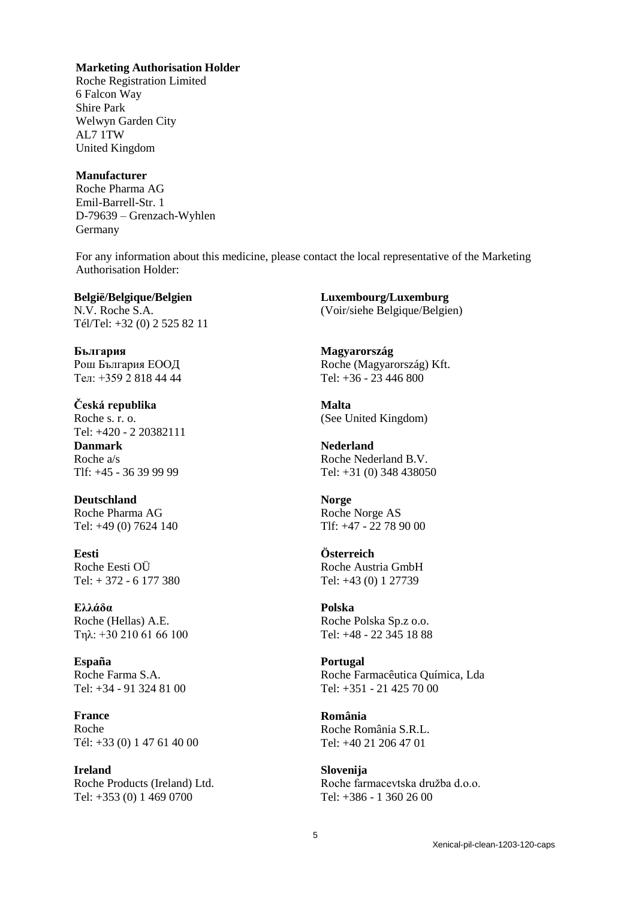### **Marketing Authorisation Holder**

Roche Registration Limited 6 Falcon Way Shire Park Welwyn Garden City AL7 1TW United Kingdom

#### **Manufacturer**

Roche Pharma AG Emil-Barrell-Str. 1 D-79639 – Grenzach-Wyhlen Germany

For any information about this medicine, please contact the local representative of the Marketing Authorisation Holder:

**België/Belgique/Belgien** N.V. Roche S.A. Tél/Tel: +32 (0) 2 525 82 11

**България** Рош България ЕООД Тел: +359 2 818 44 44

**Česká republika** Roche s. r. o. Tel: +420 - 2 20382111 **Danmark** Roche a/s Tlf: +45 - 36 39 99 99

**Deutschland** Roche Pharma AG Tel: +49 (0) 7624 140

**Eesti** Roche Eesti OÜ Tel: + 372 - 6 177 380

# **Ελλάδα**

Roche (Hellas) A.E. Τηλ: +30 210 61 66 100

**España** Roche Farma S.A. Tel: +34 - 91 324 81 00

**France** Roche Tél: +33 (0) 1 47 61 40 00

**Ireland** Roche Products (Ireland) Ltd. Tel: +353 (0) 1 469 0700

**Luxembourg/Luxemburg** (Voir/siehe Belgique/Belgien)

**Magyarország** Roche (Magyarország) Kft. Tel: +36 - 23 446 800

**Malta** (See United Kingdom)

**Nederland** Roche Nederland B.V. Tel: +31 (0) 348 438050

**Norge** Roche Norge AS Tlf: +47 - 22 78 90 00

#### **Österreich**

Roche Austria GmbH Tel: +43 (0) 1 27739

# **Polska**

Roche Polska Sp.z o.o. Tel: +48 - 22 345 18 88

# **Portugal**

Roche Farmacêutica Química, Lda Tel: +351 - 21 425 70 00

### **România** Roche România S.R.L. Tel: +40 21 206 47 01

**Slovenija** Roche farmacevtska družba d.o.o. Tel: +386 - 1 360 26 00